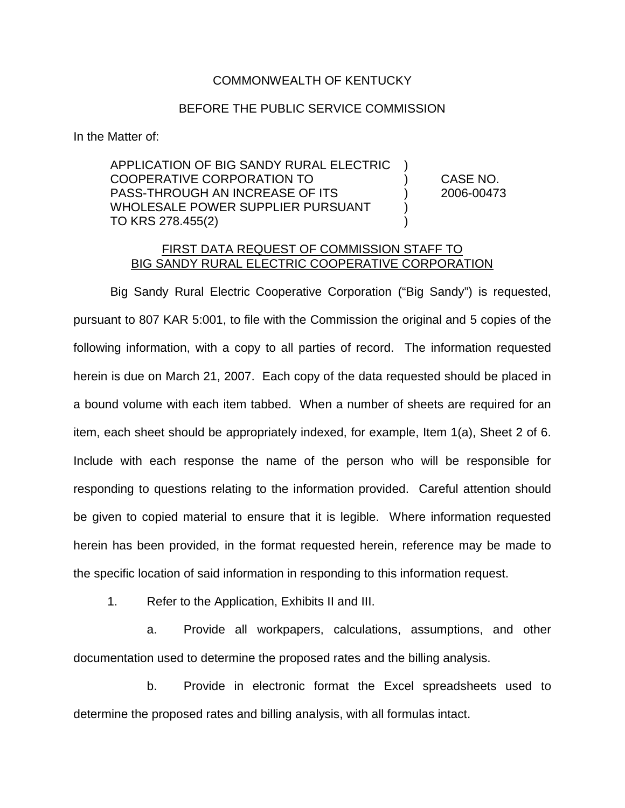## COMMONWEALTH OF KENTUCKY

## BEFORE THE PUBLIC SERVICE COMMISSION

In the Matter of:

APPLICATION OF BIG SANDY RURAL ELECTRIC ) COOPERATIVE CORPORATION TO ) CASE NO. PASS-THROUGH AN INCREASE OF ITS ) 2006-00473 WHOLESALE POWER SUPPLIER PURSUANT ) TO KRS 278.455(2)

## FIRST DATA REQUEST OF COMMISSION STAFF TO BIG SANDY RURAL ELECTRIC COOPERATIVE CORPORATION

Big Sandy Rural Electric Cooperative Corporation ("Big Sandy") is requested, pursuant to 807 KAR 5:001, to file with the Commission the original and 5 copies of the following information, with a copy to all parties of record. The information requested herein is due on March 21, 2007. Each copy of the data requested should be placed in a bound volume with each item tabbed. When a number of sheets are required for an item, each sheet should be appropriately indexed, for example, Item 1(a), Sheet 2 of 6. Include with each response the name of the person who will be responsible for responding to questions relating to the information provided. Careful attention should be given to copied material to ensure that it is legible. Where information requested herein has been provided, in the format requested herein, reference may be made to the specific location of said information in responding to this information request.

1. Refer to the Application, Exhibits II and III.

a. Provide all workpapers, calculations, assumptions, and other documentation used to determine the proposed rates and the billing analysis.

b. Provide in electronic format the Excel spreadsheets used to determine the proposed rates and billing analysis, with all formulas intact.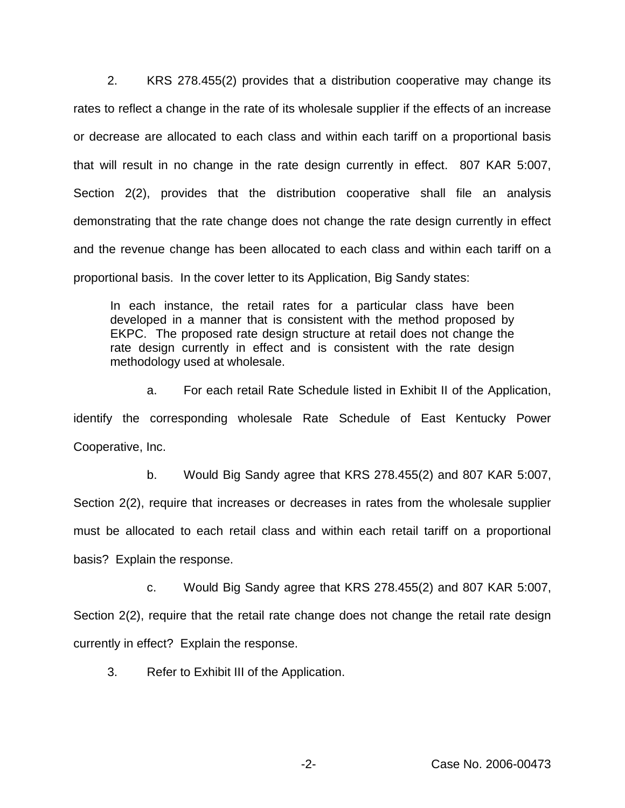2. KRS 278.455(2) provides that a distribution cooperative may change its rates to reflect a change in the rate of its wholesale supplier if the effects of an increase or decrease are allocated to each class and within each tariff on a proportional basis that will result in no change in the rate design currently in effect. 807 KAR 5:007, Section 2(2), provides that the distribution cooperative shall file an analysis demonstrating that the rate change does not change the rate design currently in effect and the revenue change has been allocated to each class and within each tariff on a proportional basis. In the cover letter to its Application, Big Sandy states:

In each instance, the retail rates for a particular class have been developed in a manner that is consistent with the method proposed by EKPC. The proposed rate design structure at retail does not change the rate design currently in effect and is consistent with the rate design methodology used at wholesale.

a. For each retail Rate Schedule listed in Exhibit II of the Application, identify the corresponding wholesale Rate Schedule of East Kentucky Power Cooperative, Inc.

b. Would Big Sandy agree that KRS 278.455(2) and 807 KAR 5:007,

Section 2(2), require that increases or decreases in rates from the wholesale supplier must be allocated to each retail class and within each retail tariff on a proportional basis? Explain the response.

c. Would Big Sandy agree that KRS 278.455(2) and 807 KAR 5:007,

Section 2(2), require that the retail rate change does not change the retail rate design currently in effect? Explain the response.

3. Refer to Exhibit III of the Application.